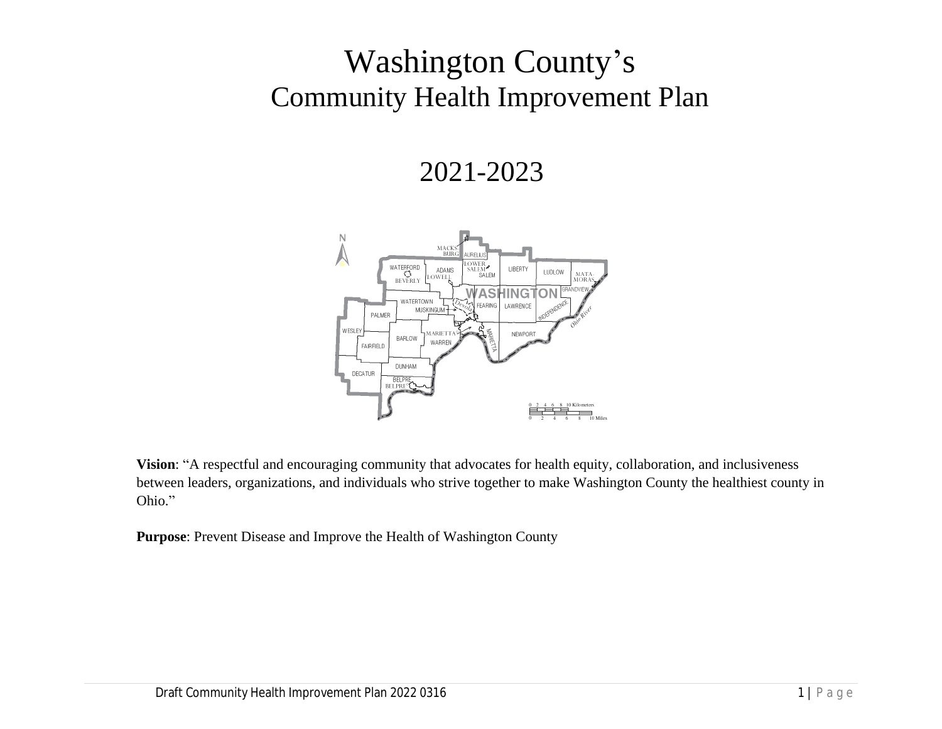# Washington County's Community Health Improvement Plan

## 2021-2023



**Vision**: "A respectful and encouraging community that advocates for health equity, collaboration, and inclusiveness between leaders, organizations, and individuals who strive together to make Washington County the healthiest county in Ohio."

**Purpose**: Prevent Disease and Improve the Health of Washington County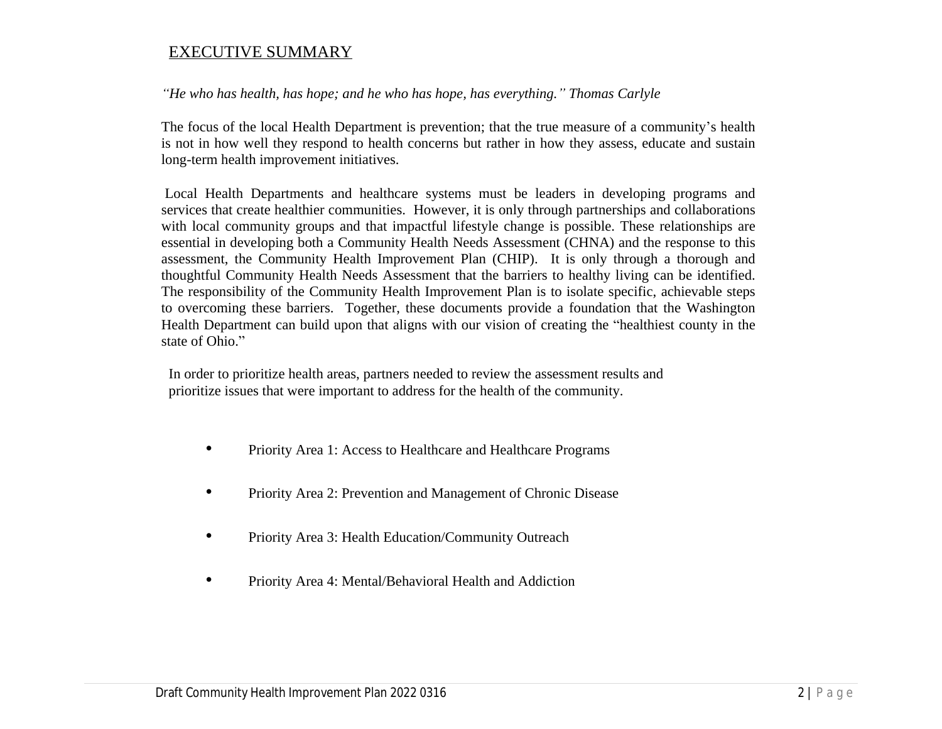#### EXECUTIVE SUMMARY

*"He who has health, has hope; and he who has hope, has everything." Thomas Carlyle*

The focus of the local Health Department is prevention; that the true measure of a community's health is not in how well they respond to health concerns but rather in how they assess, educate and sustain long-term health improvement initiatives.

Local Health Departments and healthcare systems must be leaders in developing programs and services that create healthier communities. However, it is only through partnerships and collaborations with local community groups and that impactful lifestyle change is possible. These relationships are essential in developing both a Community Health Needs Assessment (CHNA) and the response to this assessment, the Community Health Improvement Plan (CHIP). It is only through a thorough and thoughtful Community Health Needs Assessment that the barriers to healthy living can be identified. The responsibility of the Community Health Improvement Plan is to isolate specific, achievable steps to overcoming these barriers. Together, these documents provide a foundation that the Washington Health Department can build upon that aligns with our vision of creating the "healthiest county in the state of Ohio."

In order to prioritize health areas, partners needed to review the assessment results and prioritize issues that were important to address for the health of the community.

- Priority Area 1: Access to Healthcare and Healthcare Programs
- Priority Area 2: Prevention and Management of Chronic Disease
- Priority Area 3: Health Education/Community Outreach
- Priority Area 4: Mental/Behavioral Health and Addiction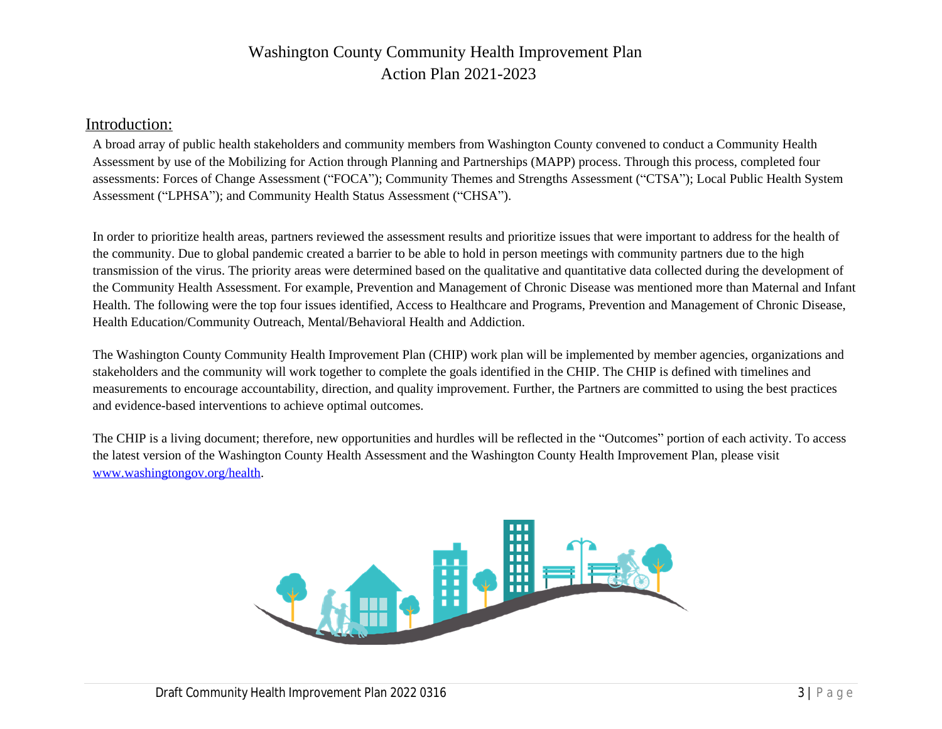### Washington County Community Health Improvement Plan Action Plan 2021-2023

#### Introduction:

A broad array of public health stakeholders and community members from Washington County convened to conduct a Community Assessment by use of the Mobilizing for Action through Planning and Partnerships (MAPP) process. Through this proces assessments: Forces of Change Assessment ("FOCA"); Community Themes and Strengths Assessment ("CTSA"); Local Assessment ("LPHSA"); and Community Health Status Assessment ("CHSA").

In order to prioritize health areas, partners reviewed the assessment results and pri[oritize issues that were importan](http://www.washingtongov.org/health)t to add [the community. Due to global pa](http://www.washingtongov.org/health)ndemic created a barrier to be able to hold in person meetings with community partners transmission of the virus. The priority areas were determined based on the qualitative and quantitative data collected duri the Community Health Assessment. For example, Prevention and Management of Chronic Disease was mentioned more Health. The following were the top four issues identified, Access to Healthcare and Programs, Prevention and Manageme Health Education/Community Outreach, Mental/Behavioral Health and Addiction.

The Washington County Community Health Improvement Plan (CHIP) work plan will be implemented by member agency stakeholders and the community will work together to complete the goals identified in the CHIP. The CHIP is defined wi measurements to encourage accountability, direction, and quality improvement. Further, the Partners are committed to us and evidence-based interventions to achieve optimal outcomes.

The CHIP is a living document; therefore, new opportunities and hurdles will be reflected in the "Outcomes" portion of e the latest version of the Washington County Health Assessment and the Washington County Health Improvement Plan, p www.washingtongov.org/health.

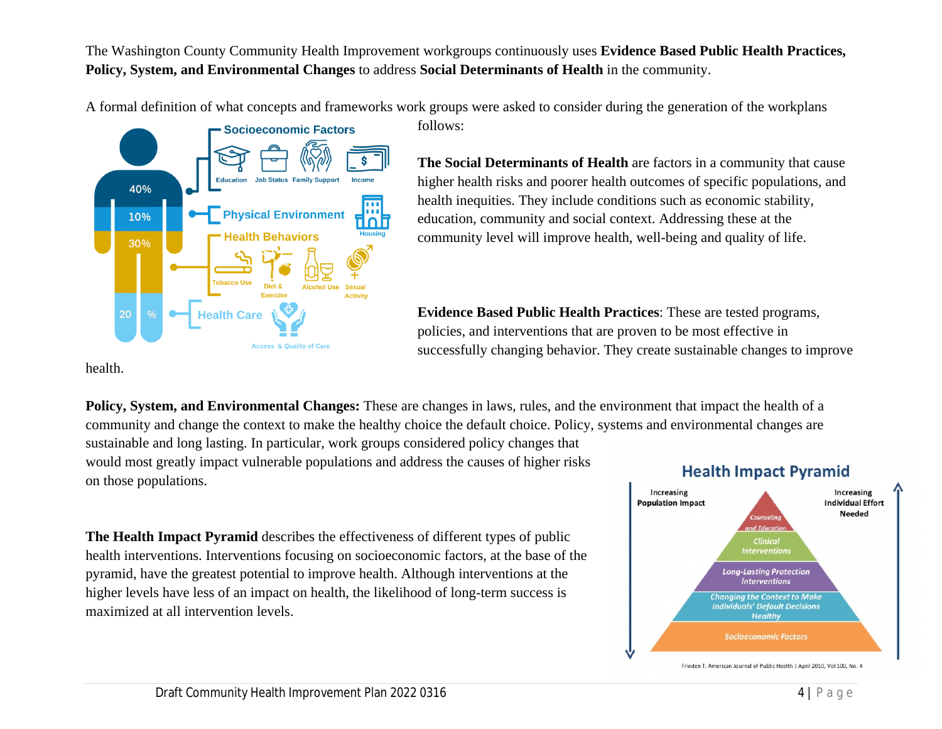The Washington County Community Health Improvement workgroups continuously uses **Evidence Based Public Health Practices, Policy, System, and Environmental Changes** to address **Social Determinants of Health** in the community.

A formal definition of what concepts and frameworks work groups were asked to consider during the generation of the workplans

follows:



**The Social Determinants of Health** are factors in a community that cause higher health risks and poorer health outcomes of specific populations, and health inequities. They include conditions such as economic stability, education, community and social context. Addressing these at the community level will improve health, well-being and quality of life.

**Evidence Based Public Health Practices**: These are tested programs, policies, and interventions that are proven to be most effective in successfully changing behavior. They create sustainable changes to improve

health.

**Policy, System, and Environmental Changes:** These are changes in laws, rules, and the environment that impact the health of a community and change the context to make the healthy choice the default choice. Policy, systems and environmental changes are sustainable and long lasting. In particular, work groups considered policy changes that would most greatly impact vulnerable populations and address the causes of higher risks **Health Impact Pyramid** on those populations.

**The Health Impact Pyramid** describes the effectiveness of different types of public health interventions. Interventions focusing on socioeconomic factors, at the base of the pyramid, have the greatest potential to improve health. Although interventions at the higher levels have less of an impact on health, the likelihood of long-term success is maximized at all intervention levels.



Frieden T. American Journal of Public Health | April 2010, Vol 100, No. 4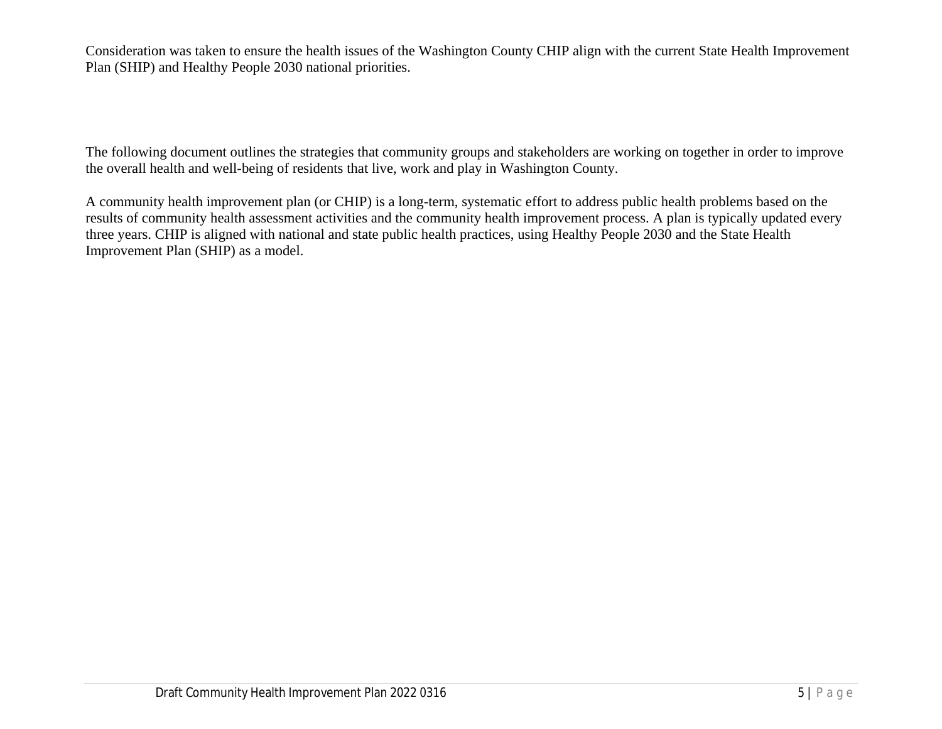Consideration was taken to ensure the health issues of the Washington County CHIP align with the current State Health Improvement Plan (SHIP) and Healthy People 2030 national priorities.

The following document outlines the strategies that community groups and stakeholders are working on together in order to improve the overall health and well-being of residents that live, work and play in Washington County.

A community health improvement plan (or CHIP) is a long-term, systematic effort to address public health problems based on the results of community health assessment activities and the community health improvement process. A plan is typically updated every three years. CHIP is aligned with national and state public health practices, using Healthy People 2030 and the State Health Improvement Plan (SHIP) as a model.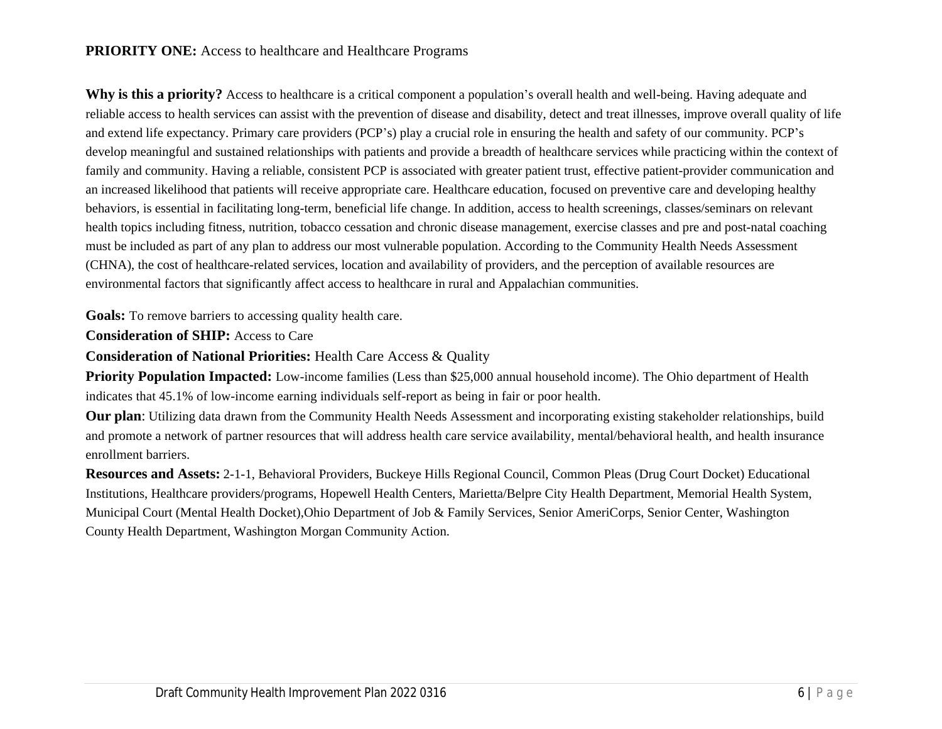#### **PRIORITY ONE:** Access to healthcare and Healthcare Programs

**Why is this a priority?** Access to healthcare is a critical component a population's overall health and well-being. Having adequate and reliable access to health services can assist with the prevention of disease and disability, detect and treat illnesses, improve overall quality of life and extend life expectancy. Primary care providers (PCP's) play a crucial role in ensuring the health and safety of our community. PCP's develop meaningful and sustained relationships with patients and provide a breadth of healthcare services while practicing within the context of family and community. Having a reliable, consistent PCP is associated with greater patient trust, effective patient-provider communication and an increased likelihood that patients will receive appropriate care. Healthcare education, focused on preventive care and developing healthy behaviors, is essential in facilitating long-term, beneficial life change. In addition, access to health screenings, classes/seminars on relevant health topics including fitness, nutrition, tobacco cessation and chronic disease management, exercise classes and pre and post-natal coaching must be included as part of any plan to address our most vulnerable population. According to the Community Health Needs Assessment (CHNA), the cost of healthcare-related services, location and availability of providers, and the perception of available resources are environmental factors that significantly affect access to healthcare in rural and Appalachian communities.

**Goals:** To remove barriers to accessing quality health care.

**Consideration of SHIP:** Access to Care

**Consideration of National Priorities:** Health Care Access & Quality

**Priority Population Impacted:** Low-income families (Less than \$25,000 annual household income). The Ohio department of Health indicates that 45.1% of low-income earning individuals self-report as being in fair or poor health.

**Our plan**: Utilizing data drawn from the Community Health Needs Assessment and incorporating existing stakeholder relationships, build and promote a network of partner resources that will address health care service availability, mental/behavioral health, and health insurance enrollment barriers.

**Resources and Assets:** 2-1-1, Behavioral Providers, Buckeye Hills Regional Council, Common Pleas (Drug Court Docket) Educational Institutions, Healthcare providers/programs, Hopewell Health Centers, Marietta/Belpre City Health Department, Memorial Health System, Municipal Court (Mental Health Docket),Ohio Department of Job & Family Services, Senior AmeriCorps, Senior Center, Washington County Health Department, Washington Morgan Community Action.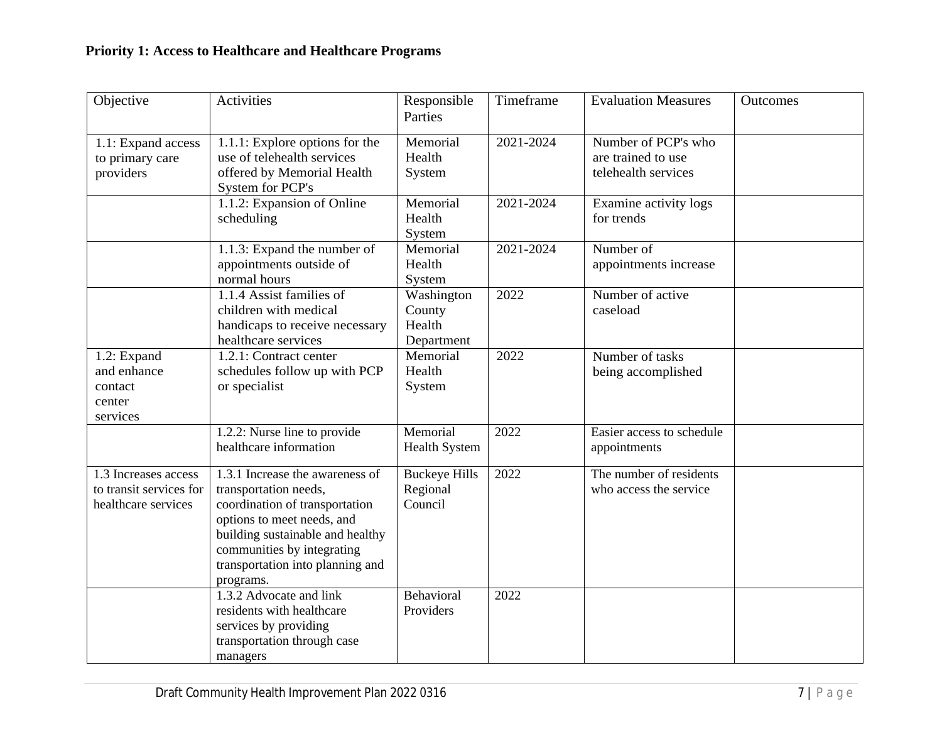| Objective                                                              | Activities                                                                                                                                                                                                                                  | Responsible<br>Parties                       | Timeframe | <b>Evaluation Measures</b>                                       | Outcomes |
|------------------------------------------------------------------------|---------------------------------------------------------------------------------------------------------------------------------------------------------------------------------------------------------------------------------------------|----------------------------------------------|-----------|------------------------------------------------------------------|----------|
| 1.1: Expand access<br>to primary care<br>providers                     | 1.1.1: Explore options for the<br>use of telehealth services<br>offered by Memorial Health<br>System for PCP's                                                                                                                              | Memorial<br>Health<br>System                 | 2021-2024 | Number of PCP's who<br>are trained to use<br>telehealth services |          |
|                                                                        | 1.1.2: Expansion of Online<br>scheduling                                                                                                                                                                                                    | Memorial<br>Health<br>System                 | 2021-2024 | Examine activity logs<br>for trends                              |          |
|                                                                        | 1.1.3: Expand the number of<br>appointments outside of<br>normal hours                                                                                                                                                                      | Memorial<br>Health<br>System                 | 2021-2024 | Number of<br>appointments increase                               |          |
|                                                                        | 1.1.4 Assist families of<br>children with medical<br>handicaps to receive necessary<br>healthcare services                                                                                                                                  | Washington<br>County<br>Health<br>Department | 2022      | Number of active<br>caseload                                     |          |
| 1.2: Expand<br>and enhance<br>contact<br>center<br>services            | 1.2.1: Contract center<br>schedules follow up with PCP<br>or specialist                                                                                                                                                                     | Memorial<br>Health<br>System                 | 2022      | Number of tasks<br>being accomplished                            |          |
|                                                                        | 1.2.2: Nurse line to provide<br>healthcare information                                                                                                                                                                                      | Memorial<br>Health System                    | 2022      | Easier access to schedule<br>appointments                        |          |
| 1.3 Increases access<br>to transit services for<br>healthcare services | 1.3.1 Increase the awareness of<br>transportation needs,<br>coordination of transportation<br>options to meet needs, and<br>building sustainable and healthy<br>communities by integrating<br>transportation into planning and<br>programs. | <b>Buckeye Hills</b><br>Regional<br>Council  | 2022      | The number of residents<br>who access the service                |          |
|                                                                        | 1.3.2 Advocate and link<br>residents with healthcare<br>services by providing<br>transportation through case<br>managers                                                                                                                    | Behavioral<br>Providers                      | 2022      |                                                                  |          |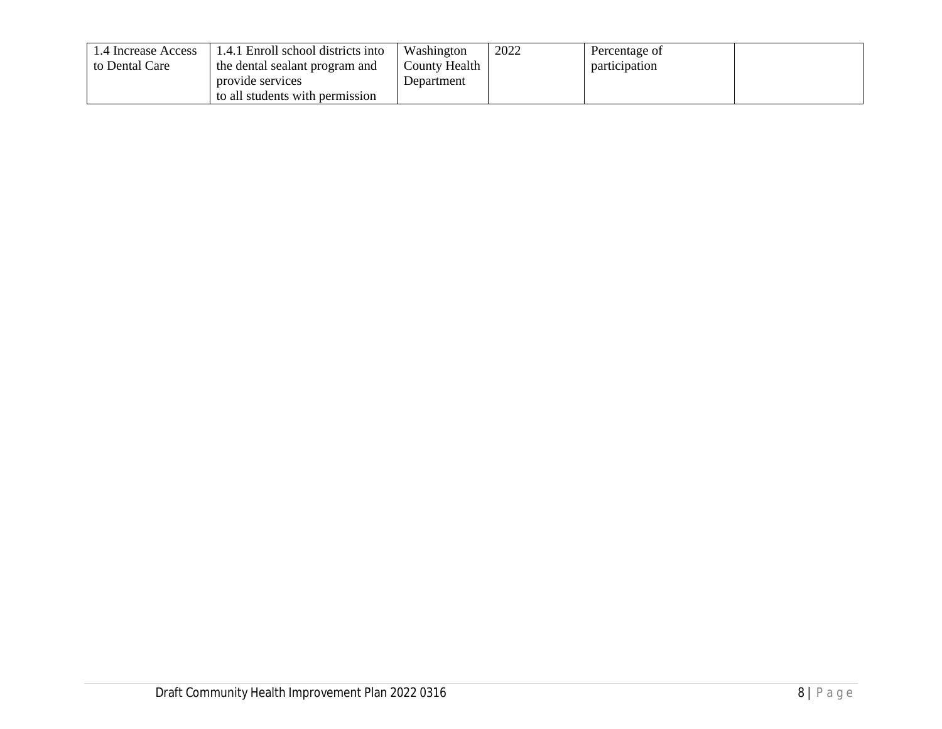| .4 Increase Access | 1.4.1 Enroll school districts into | Washington    | 2022 | Percentage of |  |
|--------------------|------------------------------------|---------------|------|---------------|--|
| to Dental Care     | the dental sealant program and     | County Health |      | participation |  |
|                    | provide services                   | Department    |      |               |  |
|                    | to all students with permission    |               |      |               |  |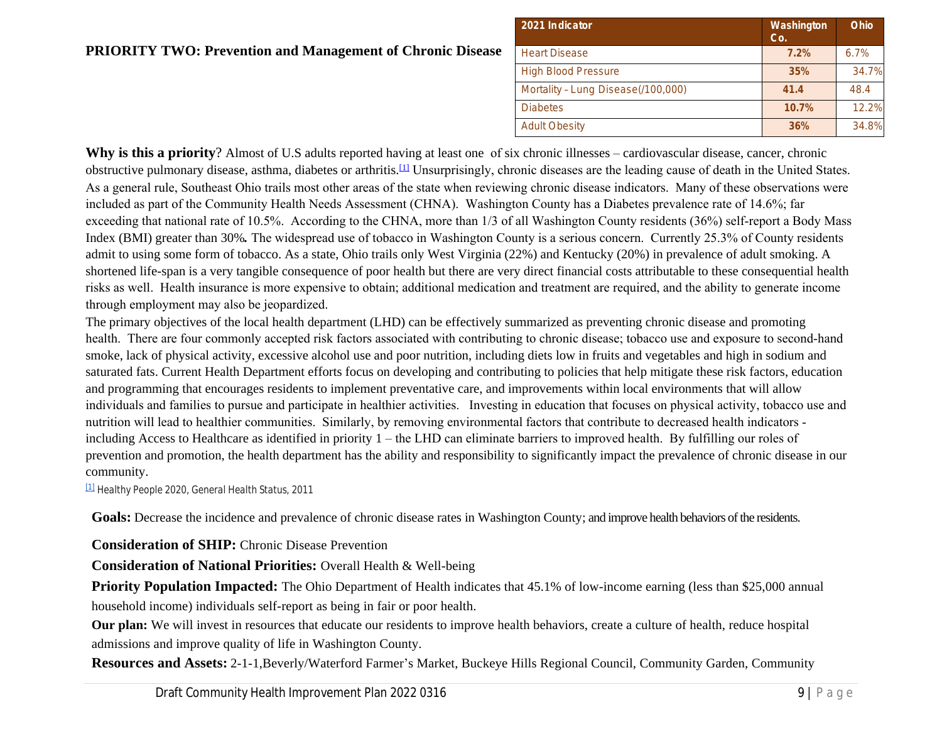| 2021 Indicator                     |
|------------------------------------|
| <b>Heart Disease</b>               |
| <b>High Blood Pressure</b>         |
| Mortality - Lung Disease(/100,000) |
| <b>Diabetes</b>                    |
| <b>Adult Obesity</b>               |

### **PRIORITY TWO: Prevention and Management of Chronic Disease**

Why is this a priority? Almost of U.S adults reported having at least one of six chronic illnesses – cardiovascular disea obstructive pulmonary disease, asthma, diabetes or arthritis.<sup>[1]</sup> Unsurprisingly, chronic diseases are the leading cause of dea As a general rule, Southeast Ohio trails most other areas of the state when reviewing chronic disease indicators. Many of t included as part of the Community Health Needs Assessment (CHNA). Washington County has a Diabetes prevalence rate exceeding that national rate of 10.5%. According to the CHNA, more than  $1/3$  of all Washington County residents (36%) s Index (BMI) greater than 30%. The widespread use of tobacco in Washington County is a serious concern. Currently 25.3 admit to using some form of tobacco. As a state, Ohio trails only West Virginia (22%) and Kentucky (20%) in prevalence [sh](https://mail.google.com/mail/u/0/#"m_4669573257770697826__ftnref1")ortened life-span is a very tangible consequence of poor health but there are very direct financial costs attributable to the risks as well. Health insurance is more expensive to obtain; additional medication and treatment are required, and the abili through employment may also be jeopardized.

The primary objectives of the local health department (LHD) can be effectively summarized as preventing chronic disease health. There are four commonly accepted risk factors associated with contributing to chronic disease; tobacco use and exp smoke, lack of physical activity, excessive alcohol use and poor nutrition, including diets low in fruits and vegetables and l saturated fats. Current Health Department efforts focus on developing and contributing to policies that help mitigate these and programming that encourages residents to implement preventative care, and improvements within local environments individuals and families to pursue and participate in healthier activities. Investing in education that focuses on physical ac nutrition will lead to healthier communities. Similarly, by removing environmental factors that contribute to decreased health indicators of the state of the state of the state of the state of the state of the state of the including Access to Healthcare as identified in priority  $1 -$  the LHD can eliminate barriers to improved health. By fulfillin prevention and promotion, the health department has the ability and responsibility to significantly impact the prevalence of community.

[1] *Healthy People 2020, General Health Status, 2011*

Goals: Decrease the incidence and prevalence of chronic disease rates in Washington County; and improve health behaviors

**Consideration of SHIP:** Chronic Disease Prevention

**Consideration of National Priorities:** Overall Health & Well-being

**Priority Population Impacted:** The Ohio Department of Health indicates that 45.1% of low-income earning (less th household income) individuals self-report as being in fair or poor health.

Our plan: We will invest in resources that educate our residents to improve health behaviors, create a culture of health, admissions and improve quality of life in Washington County.

Resources and Assets: 2-1-1,Beverly/Waterford Farmer's Market, Buckeye Hills Regional Council, Community Garden,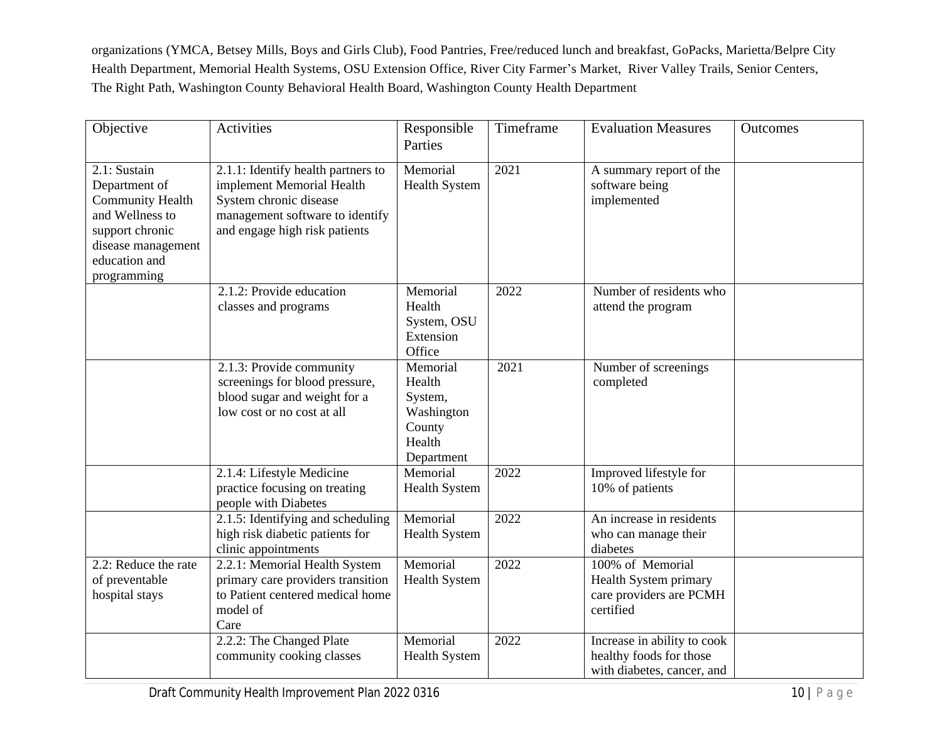organizations (YMCA, Betsey Mills, Boys and Girls Club), Food Pantries, Free/reduced lunch and breakfast, GoPacks, Marietta/Belpre City Health Department, Memorial Health Systems, OSU Extension Office, River City Farmer's Market, River Valley Trails, Senior Centers, The Right Path, Washington County Behavioral Health Board, Washington County Health Department

| Objective                                                                                                                                            | Activities                                                                                                                                                    | Responsible<br>Parties                                                        | Timeframe | <b>Evaluation Measures</b>                                                           | Outcomes |
|------------------------------------------------------------------------------------------------------------------------------------------------------|---------------------------------------------------------------------------------------------------------------------------------------------------------------|-------------------------------------------------------------------------------|-----------|--------------------------------------------------------------------------------------|----------|
| 2.1: Sustain<br>Department of<br><b>Community Health</b><br>and Wellness to<br>support chronic<br>disease management<br>education and<br>programming | 2.1.1: Identify health partners to<br>implement Memorial Health<br>System chronic disease<br>management software to identify<br>and engage high risk patients | Memorial<br><b>Health System</b>                                              | 2021      | A summary report of the<br>software being<br>implemented                             |          |
|                                                                                                                                                      | 2.1.2: Provide education<br>classes and programs                                                                                                              | Memorial<br>Health<br>System, OSU<br>Extension<br>Office                      | 2022      | Number of residents who<br>attend the program                                        |          |
|                                                                                                                                                      | 2.1.3: Provide community<br>screenings for blood pressure,<br>blood sugar and weight for a<br>low cost or no cost at all                                      | Memorial<br>Health<br>System,<br>Washington<br>County<br>Health<br>Department | 2021      | Number of screenings<br>completed                                                    |          |
|                                                                                                                                                      | 2.1.4: Lifestyle Medicine<br>practice focusing on treating<br>people with Diabetes                                                                            | Memorial<br><b>Health System</b>                                              | 2022      | Improved lifestyle for<br>10% of patients                                            |          |
|                                                                                                                                                      | 2.1.5: Identifying and scheduling<br>high risk diabetic patients for<br>clinic appointments                                                                   | Memorial<br><b>Health System</b>                                              | 2022      | An increase in residents<br>who can manage their<br>diabetes                         |          |
| 2.2: Reduce the rate<br>of preventable<br>hospital stays                                                                                             | 2.2.1: Memorial Health System<br>primary care providers transition<br>to Patient centered medical home<br>model of<br>Care                                    | Memorial<br><b>Health System</b>                                              | 2022      | 100% of Memorial<br>Health System primary<br>care providers are PCMH<br>certified    |          |
|                                                                                                                                                      | 2.2.2: The Changed Plate<br>community cooking classes                                                                                                         | Memorial<br><b>Health System</b>                                              | 2022      | Increase in ability to cook<br>healthy foods for those<br>with diabetes, cancer, and |          |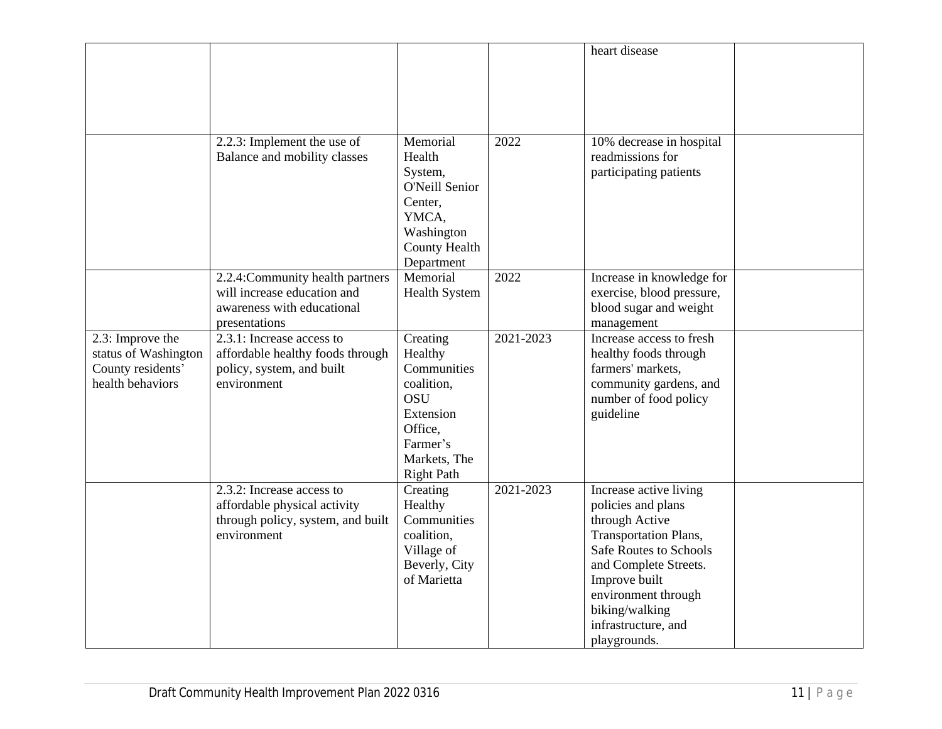|                                                                                   |                                                                                                                |                                                                                                                                         |           | heart disease                                                                                                                                                                                                                               |  |
|-----------------------------------------------------------------------------------|----------------------------------------------------------------------------------------------------------------|-----------------------------------------------------------------------------------------------------------------------------------------|-----------|---------------------------------------------------------------------------------------------------------------------------------------------------------------------------------------------------------------------------------------------|--|
|                                                                                   | 2.2.3: Implement the use of<br>Balance and mobility classes                                                    | Memorial<br>Health<br>System,<br>O'Neill Senior<br>Center,<br>YMCA,<br>Washington<br><b>County Health</b><br>Department                 | 2022      | 10% decrease in hospital<br>readmissions for<br>participating patients                                                                                                                                                                      |  |
|                                                                                   | 2.2.4: Community health partners<br>will increase education and<br>awareness with educational<br>presentations | Memorial<br><b>Health System</b>                                                                                                        | 2022      | Increase in knowledge for<br>exercise, blood pressure,<br>blood sugar and weight<br>management                                                                                                                                              |  |
| 2.3: Improve the<br>status of Washington<br>County residents'<br>health behaviors | 2.3.1: Increase access to<br>affordable healthy foods through<br>policy, system, and built<br>environment      | Creating<br>Healthy<br>Communities<br>coalition,<br><b>OSU</b><br>Extension<br>Office,<br>Farmer's<br>Markets, The<br><b>Right Path</b> | 2021-2023 | Increase access to fresh<br>healthy foods through<br>farmers' markets,<br>community gardens, and<br>number of food policy<br>guideline                                                                                                      |  |
|                                                                                   | 2.3.2: Increase access to<br>affordable physical activity<br>through policy, system, and built<br>environment  | Creating<br>Healthy<br>Communities<br>coalition,<br>Village of<br>Beverly, City<br>of Marietta                                          | 2021-2023 | Increase active living<br>policies and plans<br>through Active<br>Transportation Plans,<br>Safe Routes to Schools<br>and Complete Streets.<br>Improve built<br>environment through<br>biking/walking<br>infrastructure, and<br>playgrounds. |  |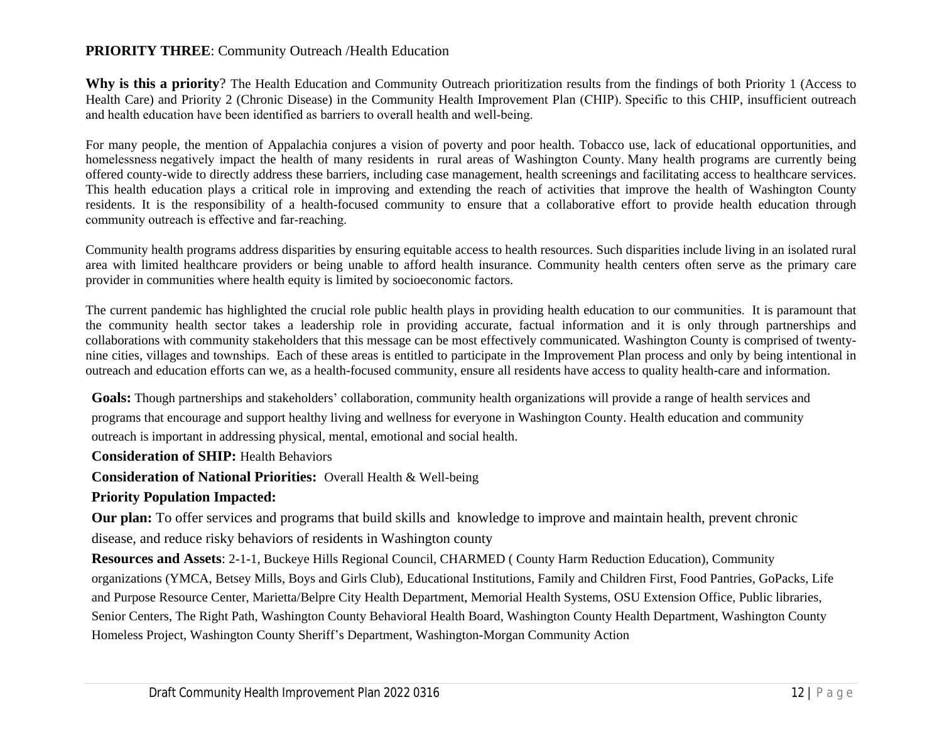#### **PRIORITY THREE**: Community Outreach /Health Education

**Why is this a priority**? The Health Education and Community Outreach prioritization results from the findings of both Priority 1 (Access to Health Care) and Priority 2 (Chronic Disease) in the Community Health Improvement Plan (CHIP). Specific to this CHIP, insufficient outreach and health education have been identified as barriers to overall health and well-being.

For many people, the mention of Appalachia conjures a vision of poverty and poor health. Tobacco use, lack of educational opportunities, and homelessness negatively impact the health of many residents in rural areas of Washington County. Many health programs are currently being offered county-wide to directly address these barriers, including case management, health screenings and facilitating access to healthcare services. This health education plays a critical role in improving and extending the reach of activities that improve the health of Washington County residents. It is the responsibility of a health-focused community to ensure that a collaborative effort to provide health education through community outreach is effective and far-reaching.

Community health programs address disparities by ensuring equitable access to health resources. Such disparities include living in an isolated rural area with limited healthcare providers or being unable to afford health insurance. Community health centers often serve as the primary care provider in communities where health equity is limited by socioeconomic factors.

The current pandemic has highlighted the crucial role public health plays in providing health education to our communities. It is paramount that the community health sector takes a leadership role in providing accurate, factual information and it is only through partnerships and collaborations with community stakeholders that this message can be most effectively communicated. Washington County is comprised of twentynine cities, villages and townships. Each of these areas is entitled to participate in the Improvement Plan process and only by being intentional in outreach and education efforts can we, as a health-focused community, ensure all residents have access to quality health-care and information.

**Goals:** Though partnerships and stakeholders' collaboration, community health organizations will provide a range of health services and programs that encourage and support healthy living and wellness for everyone in Washington County. Health education and community outreach is important in addressing physical, mental, emotional and social health.

**Consideration of SHIP:** Health Behaviors

**Consideration of National Priorities:** Overall Health & Well-being

#### **Priority Population Impacted:**

**Our plan:** To offer services and programs that build skills and knowledge to improve and maintain health, prevent chronic disease, and reduce risky behaviors of residents in Washington county

**Resources and Assets**: 2-1-1, Buckeye Hills Regional Council, CHARMED ( County Harm Reduction Education), Community organizations (YMCA, Betsey Mills, Boys and Girls Club), Educational Institutions, Family and Children First, Food Pantries, GoPacks, Life and Purpose Resource Center, Marietta/Belpre City Health Department, Memorial Health Systems, OSU Extension Office, Public libraries, Senior Centers, The Right Path, Washington County Behavioral Health Board, Washington County Health Department, Washington County Homeless Project, Washington County Sheriff's Department, Washington-Morgan Community Action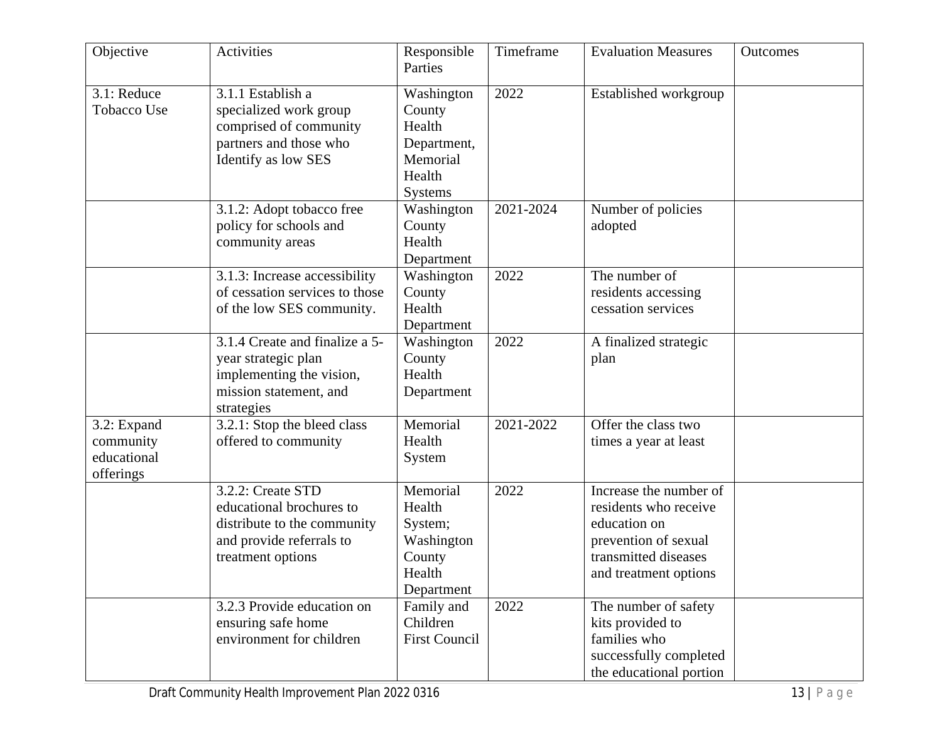| Objective                                            | Activities                                                                                                                    | Responsible<br>Parties                                                                | Timeframe | <b>Evaluation Measures</b>                                                                                                               | Outcomes |
|------------------------------------------------------|-------------------------------------------------------------------------------------------------------------------------------|---------------------------------------------------------------------------------------|-----------|------------------------------------------------------------------------------------------------------------------------------------------|----------|
| 3.1: Reduce<br><b>Tobacco Use</b>                    | 3.1.1 Establish a<br>specialized work group<br>comprised of community<br>partners and those who<br>Identify as low SES        | Washington<br>County<br>Health<br>Department,<br>Memorial<br>Health<br><b>Systems</b> | 2022      | Established workgroup                                                                                                                    |          |
|                                                      | 3.1.2: Adopt tobacco free<br>policy for schools and<br>community areas                                                        | Washington<br>County<br>Health<br>Department                                          | 2021-2024 | Number of policies<br>adopted                                                                                                            |          |
|                                                      | 3.1.3: Increase accessibility<br>of cessation services to those<br>of the low SES community.                                  | Washington<br>County<br>Health<br>Department                                          | 2022      | The number of<br>residents accessing<br>cessation services                                                                               |          |
|                                                      | 3.1.4 Create and finalize a 5-<br>year strategic plan<br>implementing the vision,<br>mission statement, and<br>strategies     | Washington<br>County<br>Health<br>Department                                          | 2022      | A finalized strategic<br>plan                                                                                                            |          |
| 3.2: Expand<br>community<br>educational<br>offerings | 3.2.1: Stop the bleed class<br>offered to community                                                                           | Memorial<br>Health<br>System                                                          | 2021-2022 | Offer the class two<br>times a year at least                                                                                             |          |
|                                                      | 3.2.2: Create STD<br>educational brochures to<br>distribute to the community<br>and provide referrals to<br>treatment options | Memorial<br>Health<br>System;<br>Washington<br>County<br>Health<br>Department         | 2022      | Increase the number of<br>residents who receive<br>education on<br>prevention of sexual<br>transmitted diseases<br>and treatment options |          |
|                                                      | 3.2.3 Provide education on<br>ensuring safe home<br>environment for children                                                  | Family and<br>Children<br><b>First Council</b>                                        | 2022      | The number of safety<br>kits provided to<br>families who<br>successfully completed<br>the educational portion                            |          |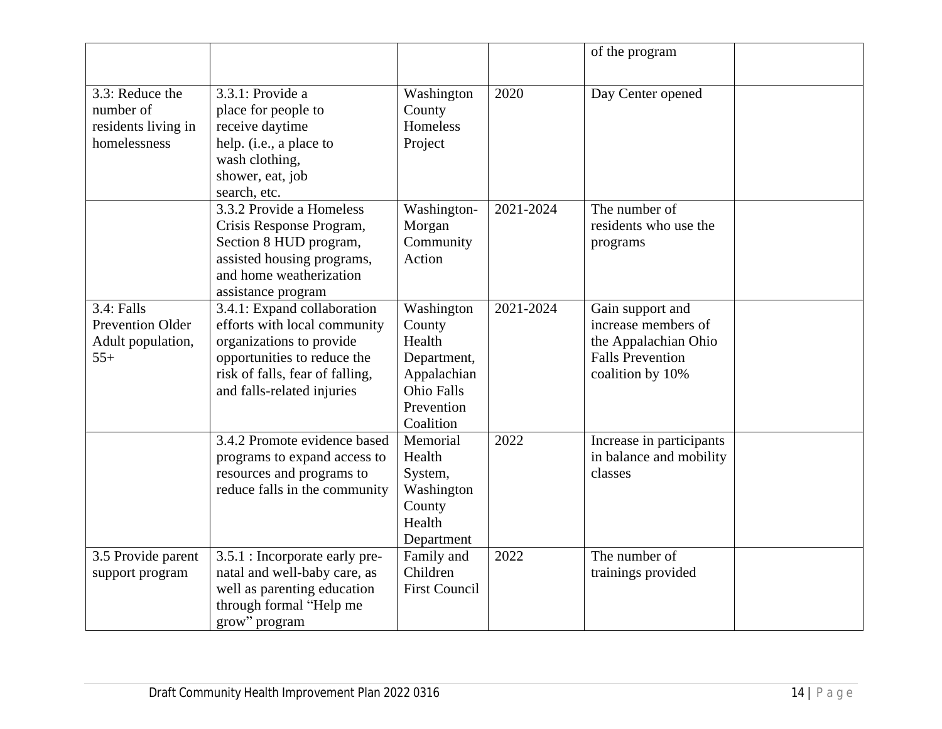|                                                                     |                                                                                                                                                                                         |                                                                                                              |           | of the program                                                                                                 |  |
|---------------------------------------------------------------------|-----------------------------------------------------------------------------------------------------------------------------------------------------------------------------------------|--------------------------------------------------------------------------------------------------------------|-----------|----------------------------------------------------------------------------------------------------------------|--|
| 3.3: Reduce the<br>number of<br>residents living in<br>homelessness | $3.3.1$ : Provide a<br>place for people to<br>receive daytime<br>help. (i.e., a place to<br>wash clothing,<br>shower, eat, job<br>search, etc.                                          | Washington<br>County<br>Homeless<br>Project                                                                  | 2020      | Day Center opened                                                                                              |  |
|                                                                     | 3.3.2 Provide a Homeless<br>Crisis Response Program,<br>Section 8 HUD program,<br>assisted housing programs,<br>and home weatherization<br>assistance program                           | Washington-<br>Morgan<br>Community<br>Action                                                                 | 2021-2024 | The number of<br>residents who use the<br>programs                                                             |  |
| 3.4: Falls<br><b>Prevention Older</b><br>Adult population,<br>$55+$ | 3.4.1: Expand collaboration<br>efforts with local community<br>organizations to provide<br>opportunities to reduce the<br>risk of falls, fear of falling,<br>and falls-related injuries | Washington<br>County<br>Health<br>Department,<br>Appalachian<br><b>Ohio Falls</b><br>Prevention<br>Coalition | 2021-2024 | Gain support and<br>increase members of<br>the Appalachian Ohio<br><b>Falls Prevention</b><br>coalition by 10% |  |
|                                                                     | 3.4.2 Promote evidence based<br>programs to expand access to<br>resources and programs to<br>reduce falls in the community                                                              | Memorial<br>Health<br>System,<br>Washington<br>County<br>Health<br>Department                                | 2022      | Increase in participants<br>in balance and mobility<br>classes                                                 |  |
| 3.5 Provide parent<br>support program                               | 3.5.1 : Incorporate early pre-<br>natal and well-baby care, as<br>well as parenting education<br>through formal "Help me<br>grow" program                                               | Family and<br>Children<br><b>First Council</b>                                                               | 2022      | The number of<br>trainings provided                                                                            |  |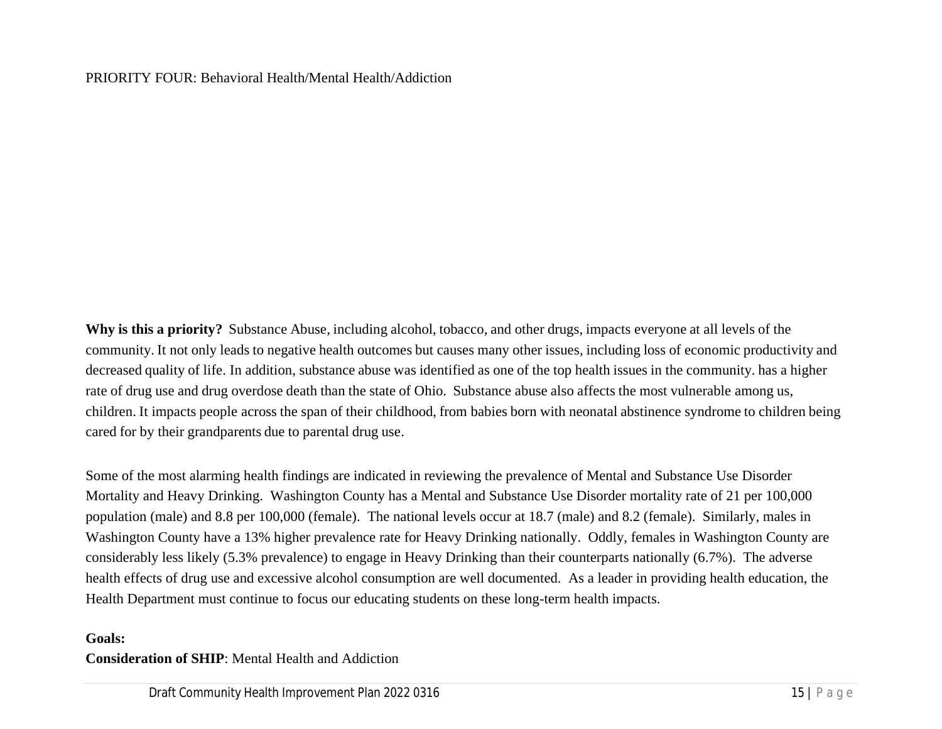#### PRIORITY FOUR: Behavioral Health/Mental Health/Addiction

**Why is this a priority?** Substance Abuse, including alcohol, tobacco, and other drugs, impacts everyone at all levels of the community. It not only leads to negative health outcomes but causes many other issues, including loss of economic productivity and decreased quality of life. In addition, substance abuse was identified as one of the top health issues in the community. has a higher rate of drug use and drug overdose death than the state of Ohio. Substance abuse also affects the most vulnerable among us, children. It impacts people across the span of their childhood, from babies born with neonatal abstinence syndrome to children being cared for by their grandparents due to parental drug use.

Some of the most alarming health findings are indicated in reviewing the prevalence of Mental and Substance Use Disorder Mortality and Heavy Drinking. Washington County has a Mental and Substance Use Disorder mortality rate of 21 per 100,000 population (male) and 8.8 per 100,000 (female). The national levels occur at 18.7 (male) and 8.2 (female). Similarly, males in Washington County have a 13% higher prevalence rate for Heavy Drinking nationally. Oddly, females in Washington County are considerably less likely (5.3% prevalence) to engage in Heavy Drinking than their counterparts nationally (6.7%). The adverse health effects of drug use and excessive alcohol consumption are well documented. As a leader in providing health education, the Health Department must continue to focus our educating students on these long-term health impacts.

#### **Goals:**

#### **Consideration of SHIP**: Mental Health and Addiction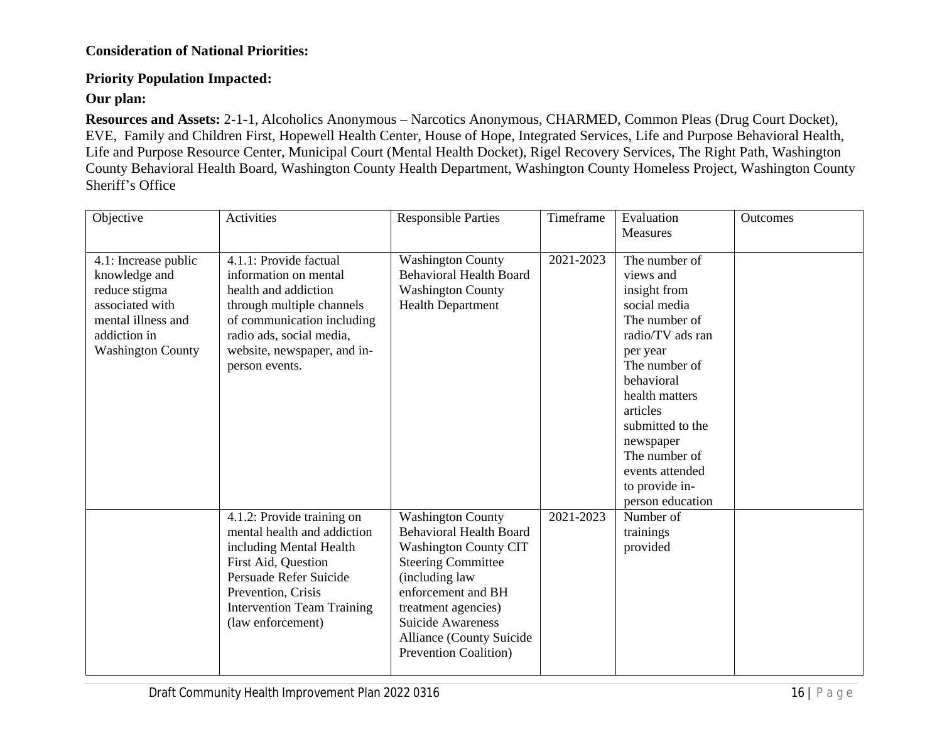#### **Consideration of National Priorities:**

#### **Priority Population Impacted:**

**Our plan:**

**Resources and Assets:** 2-1-1, Alcoholics Anonymous – Narcotics Anonymous, CHARMED, Common Pleas (Drug Court Docket), EVE, Family and Children First, Hopewell Health Center, House of Hope, Integrated Services, Life and Purpose Behavioral Health, Life and Purpose Resource Center, Municipal Court (Mental Health Docket), Rigel Recovery Services, The Right Path, Washington County Behavioral Health Board, Washington County Health Department, Washington County Homeless Project, Washington County Sheriff's Office

| Objective                                                                                                                                   | Activities                                                                                                                                                                                                            | <b>Responsible Parties</b>                                                                                                                                                                                                                                                              | Timeframe | Evaluation<br><b>Measures</b>                                                                                                                                                                                                                                                       | <b>Outcomes</b> |
|---------------------------------------------------------------------------------------------------------------------------------------------|-----------------------------------------------------------------------------------------------------------------------------------------------------------------------------------------------------------------------|-----------------------------------------------------------------------------------------------------------------------------------------------------------------------------------------------------------------------------------------------------------------------------------------|-----------|-------------------------------------------------------------------------------------------------------------------------------------------------------------------------------------------------------------------------------------------------------------------------------------|-----------------|
| 4.1: Increase public<br>knowledge and<br>reduce stigma<br>associated with<br>mental illness and<br>addiction in<br><b>Washington County</b> | 4.1.1: Provide factual<br>information on mental<br>health and addiction<br>through multiple channels<br>of communication including<br>radio ads, social media,<br>website, newspaper, and in-<br>person events.       | <b>Washington County</b><br><b>Behavioral Health Board</b><br><b>Washington County</b><br><b>Health Department</b>                                                                                                                                                                      | 2021-2023 | The number of<br>views and<br>insight from<br>social media<br>The number of<br>radio/TV ads ran<br>per year<br>The number of<br>behavioral<br>health matters<br>articles<br>submitted to the<br>newspaper<br>The number of<br>events attended<br>to provide in-<br>person education |                 |
|                                                                                                                                             | 4.1.2: Provide training on<br>mental health and addiction<br>including Mental Health<br>First Aid, Question<br>Persuade Refer Suicide<br>Prevention, Crisis<br><b>Intervention Team Training</b><br>(law enforcement) | <b>Washington County</b><br><b>Behavioral Health Board</b><br><b>Washington County CIT</b><br><b>Steering Committee</b><br>(including law<br>enforcement and BH<br>treatment agencies)<br><b>Suicide Awareness</b><br><b>Alliance (County Suicide)</b><br><b>Prevention Coalition</b> ) | 2021-2023 | Number of<br>trainings<br>provided                                                                                                                                                                                                                                                  |                 |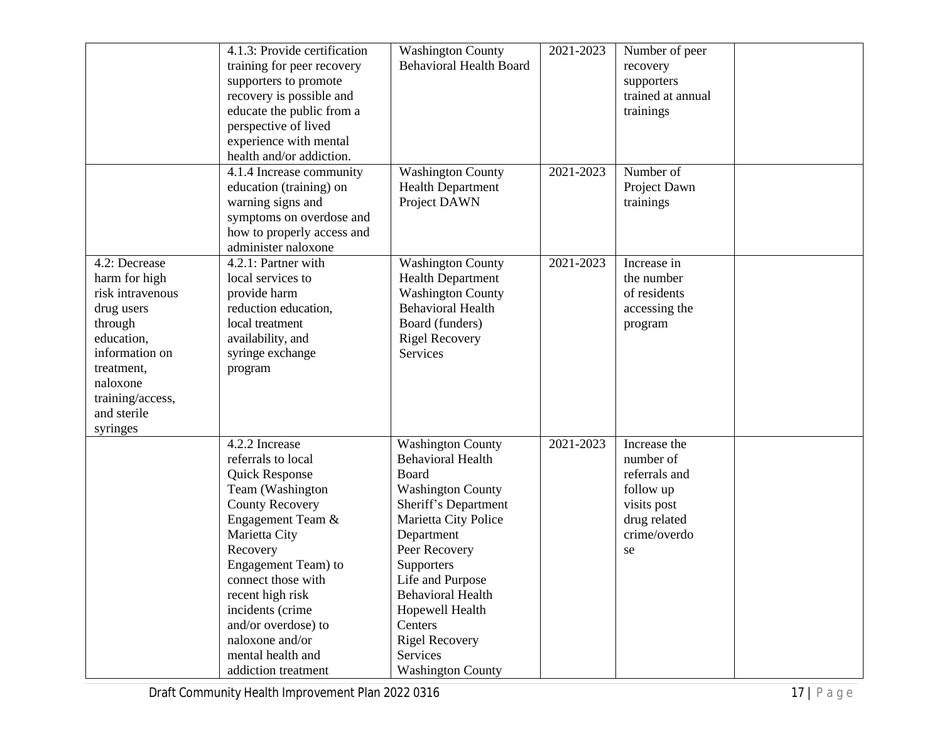|                  | 4.1.3: Provide certification | <b>Washington County</b>       | 2021-2023 | Number of peer    |  |
|------------------|------------------------------|--------------------------------|-----------|-------------------|--|
|                  | training for peer recovery   | <b>Behavioral Health Board</b> |           | recovery          |  |
|                  | supporters to promote        |                                |           | supporters        |  |
|                  | recovery is possible and     |                                |           | trained at annual |  |
|                  | educate the public from a    |                                |           | trainings         |  |
|                  | perspective of lived         |                                |           |                   |  |
|                  |                              |                                |           |                   |  |
|                  | experience with mental       |                                |           |                   |  |
|                  | health and/or addiction.     |                                |           |                   |  |
|                  | 4.1.4 Increase community     | <b>Washington County</b>       | 2021-2023 | Number of         |  |
|                  | education (training) on      | <b>Health Department</b>       |           | Project Dawn      |  |
|                  | warning signs and            | Project DAWN                   |           | trainings         |  |
|                  | symptoms on overdose and     |                                |           |                   |  |
|                  | how to properly access and   |                                |           |                   |  |
|                  | administer naloxone          |                                |           |                   |  |
| 4.2: Decrease    | 4.2.1: Partner with          | <b>Washington County</b>       | 2021-2023 | Increase in       |  |
| harm for high    | local services to            | <b>Health Department</b>       |           | the number        |  |
| risk intravenous | provide harm                 | <b>Washington County</b>       |           | of residents      |  |
| drug users       | reduction education,         | <b>Behavioral Health</b>       |           | accessing the     |  |
| through          | local treatment              | Board (funders)                |           | program           |  |
| education,       | availability, and            | <b>Rigel Recovery</b>          |           |                   |  |
| information on   | syringe exchange             | <b>Services</b>                |           |                   |  |
| treatment,       | program                      |                                |           |                   |  |
| naloxone         |                              |                                |           |                   |  |
| training/access, |                              |                                |           |                   |  |
| and sterile      |                              |                                |           |                   |  |
| syringes         |                              |                                |           |                   |  |
|                  | 4.2.2 Increase               | <b>Washington County</b>       | 2021-2023 | Increase the      |  |
|                  | referrals to local           | <b>Behavioral Health</b>       |           | number of         |  |
|                  | Quick Response               | Board                          |           | referrals and     |  |
|                  | Team (Washington             | <b>Washington County</b>       |           | follow up         |  |
|                  | <b>County Recovery</b>       | Sheriff's Department           |           | visits post       |  |
|                  | Engagement Team &            | Marietta City Police           |           | drug related      |  |
|                  | Marietta City                | Department                     |           | crime/overdo      |  |
|                  | Recovery                     | Peer Recovery                  |           |                   |  |
|                  | Engagement Team) to          | Supporters                     |           | se                |  |
|                  | connect those with           | Life and Purpose               |           |                   |  |
|                  |                              |                                |           |                   |  |
|                  | recent high risk             | <b>Behavioral Health</b>       |           |                   |  |
|                  | incidents (crime             | Hopewell Health                |           |                   |  |
|                  | and/or overdose) to          | Centers                        |           |                   |  |
|                  | naloxone and/or              | <b>Rigel Recovery</b>          |           |                   |  |
|                  | mental health and            | Services                       |           |                   |  |
|                  | addiction treatment          | <b>Washington County</b>       |           |                   |  |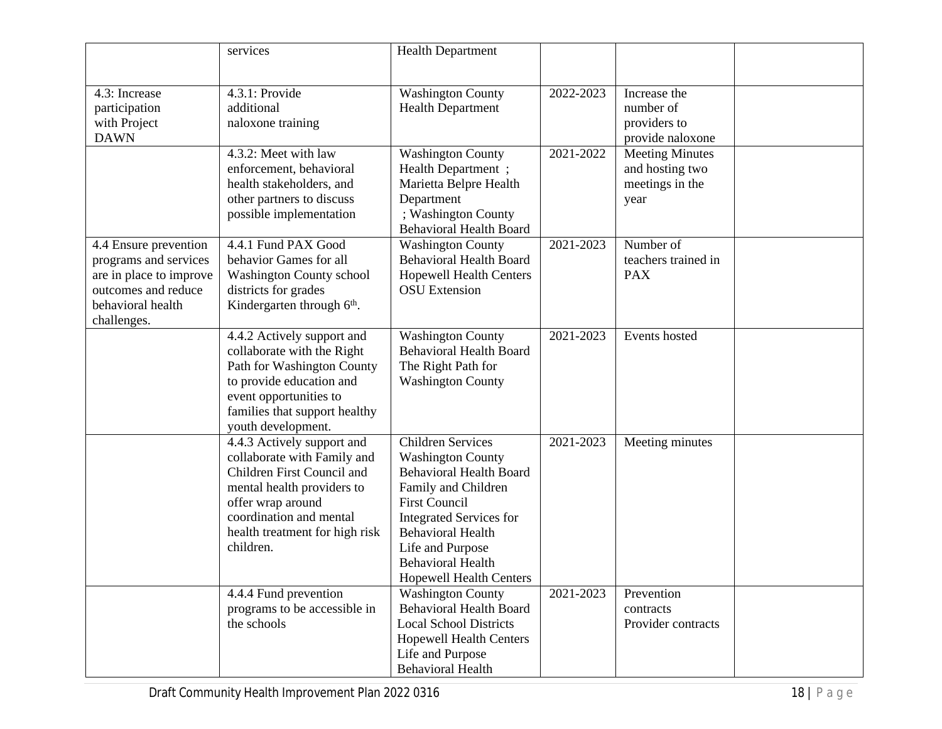|                                                                                                                                      | services                                                                                                                                                                                                             | <b>Health Department</b>                                                                                                                                                                                                                                                              |           |                                                                      |  |
|--------------------------------------------------------------------------------------------------------------------------------------|----------------------------------------------------------------------------------------------------------------------------------------------------------------------------------------------------------------------|---------------------------------------------------------------------------------------------------------------------------------------------------------------------------------------------------------------------------------------------------------------------------------------|-----------|----------------------------------------------------------------------|--|
| 4.3: Increase<br>participation<br>with Project<br><b>DAWN</b>                                                                        | 4.3.1: Provide<br>additional<br>naloxone training                                                                                                                                                                    | <b>Washington County</b><br><b>Health Department</b>                                                                                                                                                                                                                                  | 2022-2023 | Increase the<br>number of<br>providers to<br>provide naloxone        |  |
|                                                                                                                                      | 4.3.2: Meet with law<br>enforcement, behavioral<br>health stakeholders, and<br>other partners to discuss<br>possible implementation                                                                                  | <b>Washington County</b><br>Health Department;<br>Marietta Belpre Health<br>Department<br>; Washington County<br><b>Behavioral Health Board</b>                                                                                                                                       | 2021-2022 | <b>Meeting Minutes</b><br>and hosting two<br>meetings in the<br>year |  |
| 4.4 Ensure prevention<br>programs and services<br>are in place to improve<br>outcomes and reduce<br>behavioral health<br>challenges. | 4.4.1 Fund PAX Good<br>behavior Games for all<br><b>Washington County school</b><br>districts for grades<br>Kindergarten through 6 <sup>th</sup> .                                                                   | <b>Washington County</b><br><b>Behavioral Health Board</b><br><b>Hopewell Health Centers</b><br><b>OSU</b> Extension                                                                                                                                                                  | 2021-2023 | Number of<br>teachers trained in<br><b>PAX</b>                       |  |
|                                                                                                                                      | 4.4.2 Actively support and<br>collaborate with the Right<br>Path for Washington County<br>to provide education and<br>event opportunities to<br>families that support healthy<br>youth development.                  | <b>Washington County</b><br><b>Behavioral Health Board</b><br>The Right Path for<br><b>Washington County</b>                                                                                                                                                                          | 2021-2023 | Events hosted                                                        |  |
|                                                                                                                                      | 4.4.3 Actively support and<br>collaborate with Family and<br>Children First Council and<br>mental health providers to<br>offer wrap around<br>coordination and mental<br>health treatment for high risk<br>children. | <b>Children Services</b><br><b>Washington County</b><br><b>Behavioral Health Board</b><br>Family and Children<br><b>First Council</b><br><b>Integrated Services for</b><br><b>Behavioral Health</b><br>Life and Purpose<br><b>Behavioral Health</b><br><b>Hopewell Health Centers</b> | 2021-2023 | Meeting minutes                                                      |  |
|                                                                                                                                      | 4.4.4 Fund prevention<br>programs to be accessible in<br>the schools                                                                                                                                                 | <b>Washington County</b><br><b>Behavioral Health Board</b><br><b>Local School Districts</b><br><b>Hopewell Health Centers</b><br>Life and Purpose<br><b>Behavioral Health</b>                                                                                                         | 2021-2023 | Prevention<br>contracts<br>Provider contracts                        |  |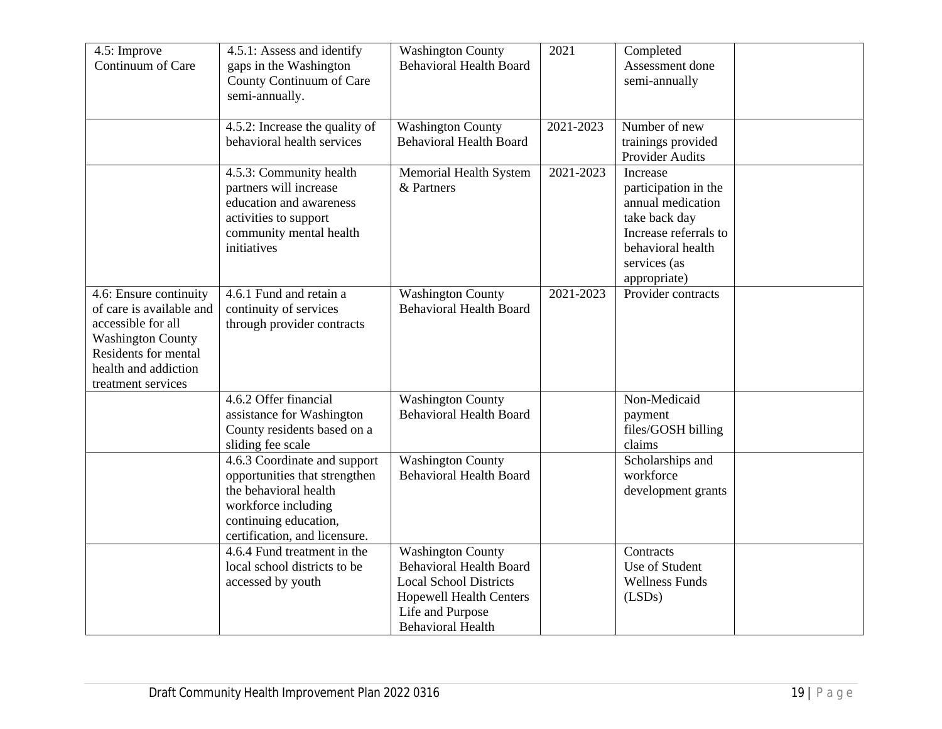| 4.5: Improve<br>Continuum of Care                                                                                                                                          | 4.5.1: Assess and identify<br>gaps in the Washington<br>County Continuum of Care<br>semi-annually.                                                                      | <b>Washington County</b><br><b>Behavioral Health Board</b>                                                                                                                    | 2021      | Completed<br>Assessment done<br>semi-annually                                                                                                        |  |
|----------------------------------------------------------------------------------------------------------------------------------------------------------------------------|-------------------------------------------------------------------------------------------------------------------------------------------------------------------------|-------------------------------------------------------------------------------------------------------------------------------------------------------------------------------|-----------|------------------------------------------------------------------------------------------------------------------------------------------------------|--|
|                                                                                                                                                                            | 4.5.2: Increase the quality of<br>behavioral health services                                                                                                            | <b>Washington County</b><br><b>Behavioral Health Board</b>                                                                                                                    | 2021-2023 | Number of new<br>trainings provided<br>Provider Audits                                                                                               |  |
|                                                                                                                                                                            | 4.5.3: Community health<br>partners will increase<br>education and awareness<br>activities to support<br>community mental health<br>initiatives                         | Memorial Health System<br>& Partners                                                                                                                                          | 2021-2023 | Increase<br>participation in the<br>annual medication<br>take back day<br>Increase referrals to<br>behavioral health<br>services (as<br>appropriate) |  |
| 4.6: Ensure continuity<br>of care is available and<br>accessible for all<br><b>Washington County</b><br>Residents for mental<br>health and addiction<br>treatment services | 4.6.1 Fund and retain a<br>continuity of services<br>through provider contracts                                                                                         | <b>Washington County</b><br><b>Behavioral Health Board</b>                                                                                                                    | 2021-2023 | Provider contracts                                                                                                                                   |  |
|                                                                                                                                                                            | 4.6.2 Offer financial<br>assistance for Washington<br>County residents based on a<br>sliding fee scale                                                                  | <b>Washington County</b><br><b>Behavioral Health Board</b>                                                                                                                    |           | Non-Medicaid<br>payment<br>files/GOSH billing<br>claims                                                                                              |  |
|                                                                                                                                                                            | 4.6.3 Coordinate and support<br>opportunities that strengthen<br>the behavioral health<br>workforce including<br>continuing education,<br>certification, and licensure. | <b>Washington County</b><br><b>Behavioral Health Board</b>                                                                                                                    |           | Scholarships and<br>workforce<br>development grants                                                                                                  |  |
|                                                                                                                                                                            | 4.6.4 Fund treatment in the<br>local school districts to be<br>accessed by youth                                                                                        | <b>Washington County</b><br><b>Behavioral Health Board</b><br><b>Local School Districts</b><br><b>Hopewell Health Centers</b><br>Life and Purpose<br><b>Behavioral Health</b> |           | Contracts<br>Use of Student<br><b>Wellness Funds</b><br>(LSDs)                                                                                       |  |